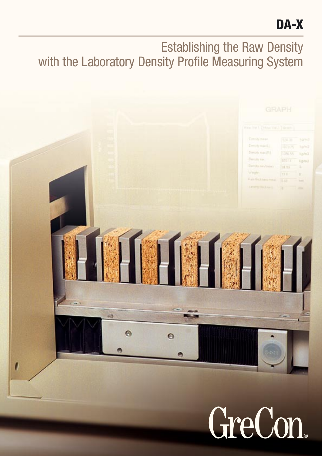# DA-X

## Establishing the Raw Density with the Laboratory Density Profile Measuring System

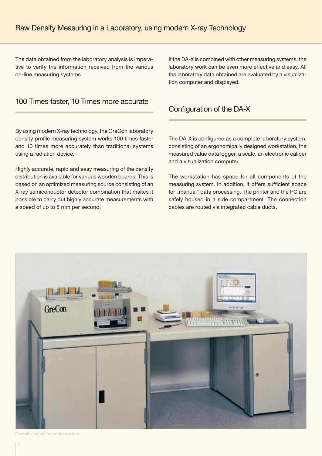The data obtained from the laboratory analysis is imperative to verify the information received from the various on-line measuring systems.

#### 100 Times faster, 10 Times more accurate

By using modern X-ray technology, the GreCon laboratory density profile measuring system works 100 times faster and 10 times more accurately than traditional systems using a radiation device.

Highly accurate, rapid and easy measuring of the density distribution is available for various wooden boards. This is based on an optimized measuring source consisting of an X-ray semiconductor detector combination that makes it possible to carry out highly accurate measurements with a speed of up to 5 mm per second.

If the DA-X is combined with other measuring systems, the laboratory work can be even more effective and easy. All the laboratory data obtained are evaluated by a visualization computer and displayed.

#### Configuration of the DA-X

The DA-X is configured as a complete laboratory system, consisting of an ergonomically designed workstation, the measured value data logger, a scale, an electronic caliper and a visualization computer.

The workstation has space for all components of the measuring system. In addition, it offers sufficient space for "manual" data processing. The printer and the PC are safely housed in a side compartment. The connection cables are routed via integrated cable ducts.



Overall view of the entire system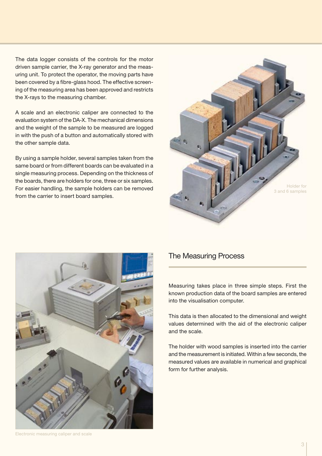The data logger consists of the controls for the motor driven sample carrier, the X-ray generator and the measuring unit. To protect the operator, the moving parts have been covered by a fibre-glass hood. The effective screening of the measuring area has been approved and restricts the X-rays to the measuring chamber.

A scale and an electronic caliper are connected to the evaluation system of the DA-X. The mechanical dimensions and the weight of the sample to be measured are logged in with the push of a button and automatically stored with the other sample data.

By using a sample holder, several samples taken from the same board or from different boards can be evaluated in a single measuring process. Depending on the thickness of the boards, there are holders for one, three or six samples. For easier handling, the sample holders can be removed from the carrier to insert board samples.





### The Measuring Process

Measuring takes place in three simple steps. First the known production data of the board samples are entered into the visualisation computer.

This data is then allocated to the dimensional and weight values determined with the aid of the electronic caliper and the scale.

The holder with wood samples is inserted into the carrier and the measurement is initiated. Within a few seconds, the measured values are available in numerical and graphical form for further analysis.

Electronic measuring caliper and scale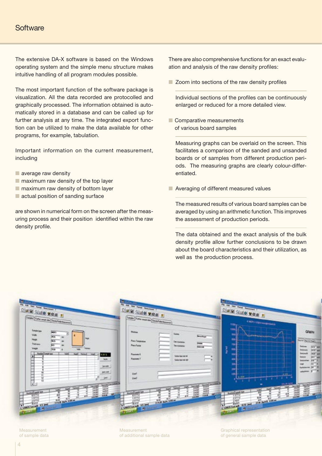## **Software**

The extensive DA-X software is based on the Windows operating system and the simple menu structure makes intuitive handling of all program modules possible.

The most important function of the software package is visualization. All the data recorded are protocolled and graphically processed. The information obtained is automatically stored in a database and can be called up for further analysis at any time. The integrated export function can be utilized to make the data available for other programs, for example, tabulation.

Important information on the current measurement, including

- average raw density
- $\blacksquare$  maximum raw density of the top layer
- maximum raw density of bottom layer
- actual position of sanding surface

are shown in numerical form on the screen after the measuring process and their position identified within the raw density profile.

There are also comprehensive functions for an exact evaluation and analysis of the raw density profiles:

■ Zoom into sections of the raw density profiles

Individual sections of the profiles can be continuously enlarged or reduced for a more detailed view.

■ Comparative measurements of various board samples

Measuring graphs can be overlaid on the screen. This facilitates a comparison of the sanded and unsanded boards or of samples from different production periods. The measuring graphs are clearly colour-differentiated.

■ Averaging of different measured values

The measured results of various board samples can be averaged by using an arithmetic function. This improves the assessment of production periods.

The data obtained and the exact analysis of the bulk density profile allow further conclusions to be drawn about the board characteristics and their utilization, as well as the production process.



Measurement of sample data Measurement of additional sample data

Graphical representation of general sample data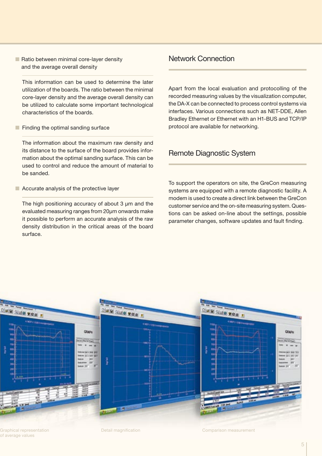■ Ratio between minimal core-layer density and the average overall density

This information can be used to determine the later utilization of the boards. The ratio between the minimal core-layer density and the average overall density can be utilized to calculate some important technological characteristics of the boards.

■ Finding the optimal sanding surface

The information about the maximum raw density and its distance to the surface of the board provides information about the optimal sanding surface. This can be used to control and reduce the amount of material to be sanded.

■ Accurate analysis of the protective layer

The high positioning accuracy of about 3  $\mu$ m and the evaluated measuring ranges from 20µm onwards make it possible to perform an accurate analysis of the raw density distribution in the critical areas of the board surface.

#### Network Connection

Apart from the local evaluation and protocolling of the recorded measuring values by the visualization computer, the DA-X can be connected to process control systems via interfaces. Various connections such as NET-DDE, Allen Bradley Ethernet or Ethernet with an H1-BUS and TCP/IP protocol are available for networking.

#### Remote Diagnostic System

To support the operators on site, the GreCon measuring systems are equipped with a remote diagnostic facility. A modem is used to create a direct link between the GreCon customer service and the on-site measuring system. Questions can be asked on-line about the settings, possible parameter changes, software updates and fault finding.



Graphical representation of average values

Detail magnification **Comparison measurement**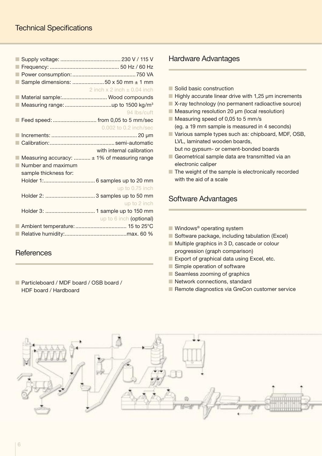| Sample dimensions: 50 x 50 mm ± 1 mm            |
|-------------------------------------------------|
| 2 inch $x$ 2 inch $\pm$ 0.04 inch               |
| Material sample: Wood compounds                 |
|                                                 |
| 94 lbs/cuft                                     |
| Feed speed:  from 0,05 to 5 mm/sec              |
| 0.002 to 0.2 inch/sec                           |
|                                                 |
|                                                 |
| with internal calibration                       |
| Measuring accuracy: $\pm$ 1% of measuring range |
|                                                 |
|                                                 |
|                                                 |
| up to 0.75 inch                                 |
|                                                 |
| up to 2 inch                                    |
|                                                 |
| up to 6 inch (optional)                         |
|                                                 |
|                                                 |
|                                                 |
|                                                 |

## **References**

■ Particleboard / MDF board / OSB board / HDF board / Hardboard

## Hardware Advantages

- Solid basic construction
- $\blacksquare$  Highly accurate linear drive with 1,25  $\mu$ m increments
- X-ray technology (no permanent radioactive source)
- Measuring resolution 20 µm (local resolution)
- Measuring speed of 0,05 to 5 mm/s (eg. a 19 mm sample is measured in 4 seconds)
- Various sample types such as: chipboard, MDF, OSB, LVL, laminated wooden boards, but no gypsum- or cement-bonded boards
- Geometrical sample data are transmitted via an electronic caliper
- The weight of the sample is electronically recorded with the aid of a scale

## Software Advantages

- Windows<sup>®</sup> operating system
- Software package, including tabulation (Excel)
- Multiple graphics in 3 D, cascade or colour progression (graph comparison)
- Export of graphical data using Excel, etc.
- Simple operation of software
- Seamless zooming of graphics
- Network connections, standard
- Remote diagnostics via GreCon customer service

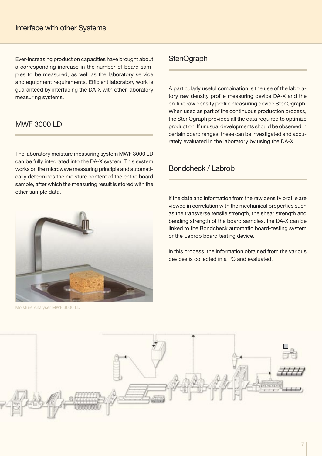Ever-increasing production capacities have brought about a corresponding increase in the number of board samples to be measured, as well as the laboratory service and equipment requirements. Efficient laboratory work is guaranteed by interfacing the DA-X with other laboratory measuring systems.

## MWF 3000 LD

The laboratory moisture measuring system MWF 3000 LD can be fully integrated into the DA-X system. This system works on the microwave measuring principle and automatically determines the moisture content of the entire board sample, after which the measuring result is stored with the other sample data.

## **StenOgraph**

A particularly useful combination is the use of the laboratory raw density profile measuring device DA-X and the on-line raw density profile measuring device StenOgraph. When used as part of the continuous production process, the StenOgraph provides all the data required to optimize production. If unusual developments should be observed in certain board ranges, these can be investigated and accurately evaluated in the laboratory by using the DA-X.

### Bondcheck / Labrob

If the data and information from the raw density profile are viewed in correlation with the mechanical properties such as the transverse tensile strength, the shear strength and bending strength of the board samples, the DA-X can be linked to the Bondcheck automatic board-testing system or the Labrob board testing device.

In this process, the information obtained from the various devices is collected in a PC and evaluated.





Moisture Analyser MWF 3000 LD